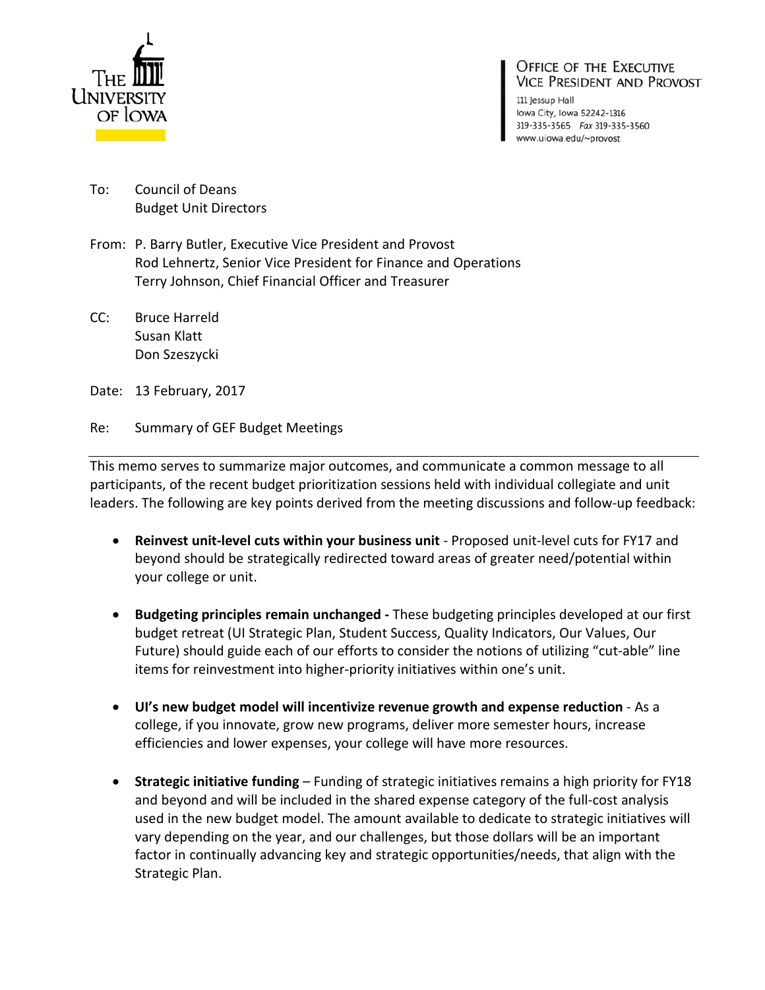

## OFFICE OF THE EXECUTIVE **VICE PRESIDENT AND PROVOST**

111 Jessup Hall lowa City, Iowa 52242-1316 319-335-3565 Fax 319-335-3560 www.uiowa.edu/~provost

- To: Council of Deans Budget Unit Directors
- From: P. Barry Butler, Executive Vice President and Provost Rod Lehnertz, Senior Vice President for Finance and Operations Terry Johnson, Chief Financial Officer and Treasurer
- CC: Bruce Harreld Susan Klatt Don Szeszycki
- Date: 13 February, 2017
- Re: Summary of GEF Budget Meetings

This memo serves to summarize major outcomes, and communicate a common message to all participants, of the recent budget prioritization sessions held with individual collegiate and unit leaders. The following are key points derived from the meeting discussions and follow-up feedback:

- **Reinvest unit-level cuts within your business unit** Proposed unit-level cuts for FY17 and beyond should be strategically redirected toward areas of greater need/potential within your college or unit.
- **Budgeting principles remain unchanged -** These budgeting principles developed at our first budget retreat (UI Strategic Plan, Student Success, Quality Indicators, Our Values, Our Future) should guide each of our efforts to consider the notions of utilizing "cut-able" line items for reinvestment into higher-priority initiatives within one's unit.
- **UI's new budget model will incentivize revenue growth and expense reduction** As a college, if you innovate, grow new programs, deliver more semester hours, increase efficiencies and lower expenses, your college will have more resources.
- **Strategic initiative funding** Funding of strategic initiatives remains a high priority for FY18 and beyond and will be included in the shared expense category of the full-cost analysis used in the new budget model. The amount available to dedicate to strategic initiatives will vary depending on the year, and our challenges, but those dollars will be an important factor in continually advancing key and strategic opportunities/needs, that align with the Strategic Plan.